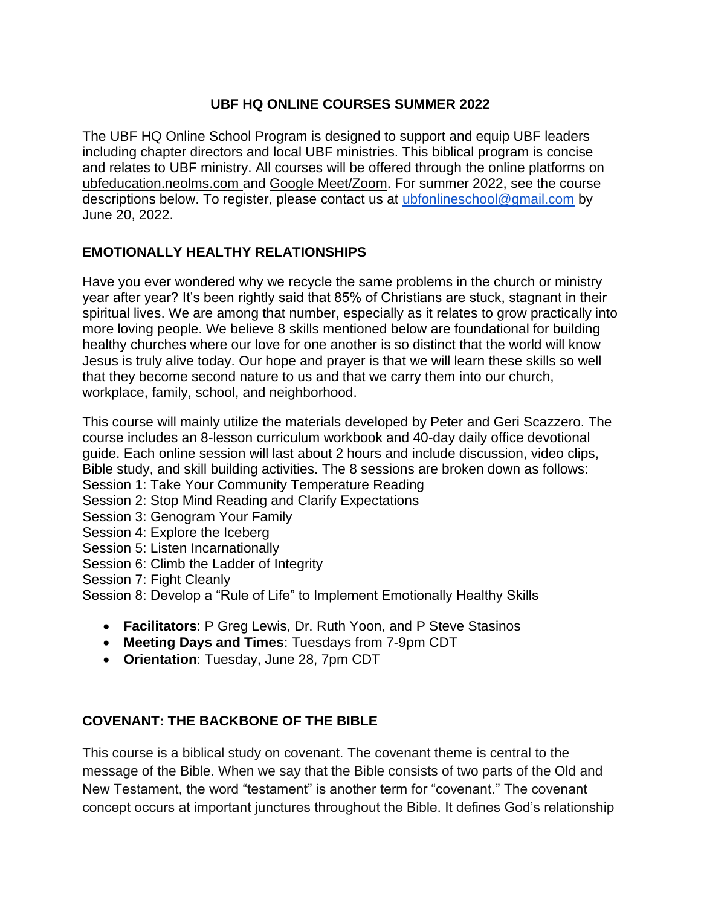## **UBF HQ ONLINE COURSES SUMMER 2022**

The UBF HQ Online School Program is designed to support and equip UBF leaders including chapter directors and local UBF ministries. This biblical program is concise and relates to UBF ministry. All courses will be offered through the online platforms on ubfeducation.neolms.com and Google Meet/Zoom. For summer 2022, see the course descriptions below. To register, please contact us at [ubfonlineschool@gmail.com](mailto:ubfonlineschool@gmail.com) by June 20, 2022.

## **EMOTIONALLY HEALTHY RELATIONSHIPS**

Have you ever wondered why we recycle the same problems in the church or ministry year after year? It's been rightly said that 85% of Christians are stuck, stagnant in their spiritual lives. We are among that number, especially as it relates to grow practically into more loving people. We believe 8 skills mentioned below are foundational for building healthy churches where our love for one another is so distinct that the world will know Jesus is truly alive today. Our hope and prayer is that we will learn these skills so well that they become second nature to us and that we carry them into our church, workplace, family, school, and neighborhood.

This course will mainly utilize the materials developed by Peter and Geri Scazzero. The course includes an 8-lesson curriculum workbook and 40-day daily office devotional guide. Each online session will last about 2 hours and include discussion, video clips, Bible study, and skill building activities. The 8 sessions are broken down as follows:

- Session 1: Take Your Community Temperature Reading
- Session 2: Stop Mind Reading and Clarify Expectations
- Session 3: Genogram Your Family
- Session 4: Explore the Iceberg
- Session 5: Listen Incarnationally
- Session 6: Climb the Ladder of Integrity
- Session 7: Fight Cleanly

Session 8: Develop a "Rule of Life" to Implement Emotionally Healthy Skills

- **Facilitators**: P Greg Lewis, Dr. Ruth Yoon, and P Steve Stasinos
- **Meeting Days and Times**: Tuesdays from 7-9pm CDT
- **Orientation**: Tuesday, June 28, 7pm CDT

## **COVENANT: THE BACKBONE OF THE BIBLE**

This course is a biblical study on covenant. The covenant theme is central to the message of the Bible. When we say that the Bible consists of two parts of the Old and New Testament, the word "testament" is another term for "covenant." The covenant concept occurs at important junctures throughout the Bible. It defines God's relationship